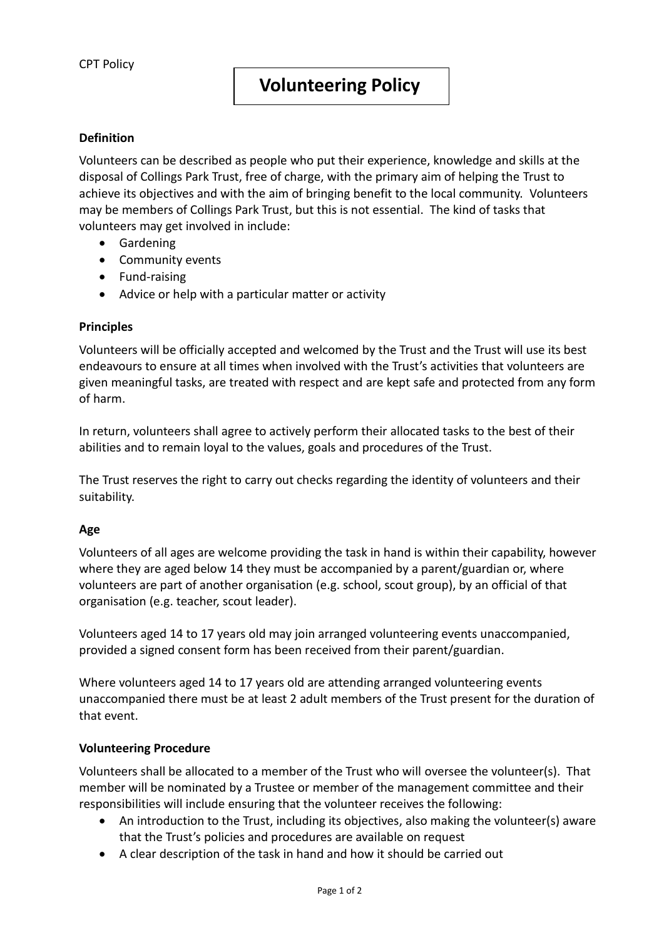### **Definition**

Volunteers can be described as people who put their experience, knowledge and skills at the disposal of Collings Park Trust, free of charge, with the primary aim of helping the Trust to achieve its objectives and with the aim of bringing benefit to the local community. Volunteers may be members of Collings Park Trust, but this is not essential. The kind of tasks that volunteers may get involved in include:

- **•** Gardening
- Community events
- Fund-raising
- Advice or help with a particular matter or activity

### **Principles**

Volunteers will be officially accepted and welcomed by the Trust and the Trust will use its best endeavours to ensure at all times when involved with the Trust's activities that volunteers are given meaningful tasks, are treated with respect and are kept safe and protected from any form of harm.

In return, volunteers shall agree to actively perform their allocated tasks to the best of their abilities and to remain loyal to the values, goals and procedures of the Trust.

The Trust reserves the right to carry out checks regarding the identity of volunteers and their suitability.

### **Age**

Volunteers of all ages are welcome providing the task in hand is within their capability, however where they are aged below 14 they must be accompanied by a parent/guardian or, where volunteers are part of another organisation (e.g. school, scout group), by an official of that organisation (e.g. teacher, scout leader).

Volunteers aged 14 to 17 years old may join arranged volunteering events unaccompanied, provided a signed consent form has been received from their parent/guardian.

Where volunteers aged 14 to 17 years old are attending arranged volunteering events unaccompanied there must be at least 2 adult members of the Trust present for the duration of that event.

### **Volunteering Procedure**

Volunteers shall be allocated to a member of the Trust who will oversee the volunteer(s). That member will be nominated by a Trustee or member of the management committee and their responsibilities will include ensuring that the volunteer receives the following:

- An introduction to the Trust, including its objectives, also making the volunteer(s) aware that the Trust's policies and procedures are available on request
- A clear description of the task in hand and how it should be carried out